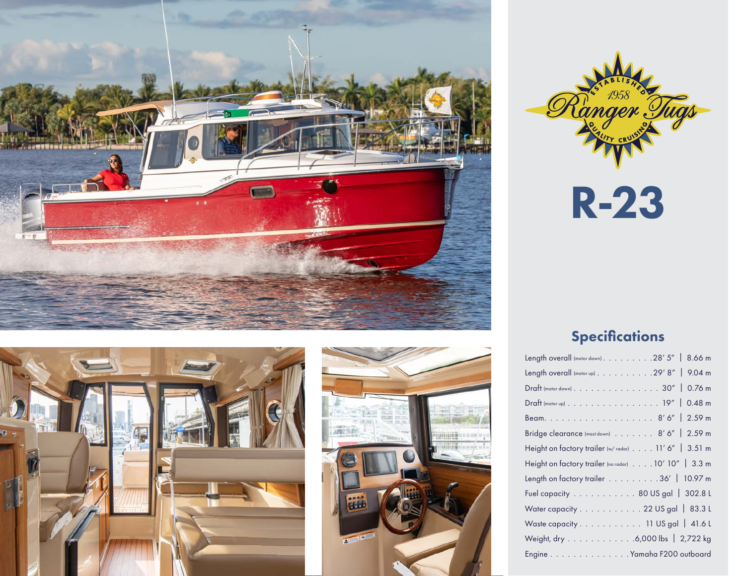







R-23

## **Specifications**

| Length overall (motor down) 28' 5"   8.66 m         |
|-----------------------------------------------------|
| Length overall (motor up) 29' 8"   9.04 m           |
| Draft (motor down) 30"   0.76 m                     |
| Draft (motor up) 19"   0.48 m                       |
|                                                     |
| Bridge clearance (mast down) 8' 6"   2.59 m         |
| Height on factory trailer (w/radar) 11' 6"   3.51 m |
| Height on factory trailer (no radar) 10' 10" 3.3 m  |
| Length on factory trailer 36'   10.97 m             |
| Fuel capacity 80 US gal   302.8 L                   |
| Water capacity 22 US gal   83.3 L                   |
| Waste capacity. 11 US gal   41.6 L                  |
| Weight, dry 6,000 lbs   2,722 kg                    |
| Engine Yamaha F200 outboard                         |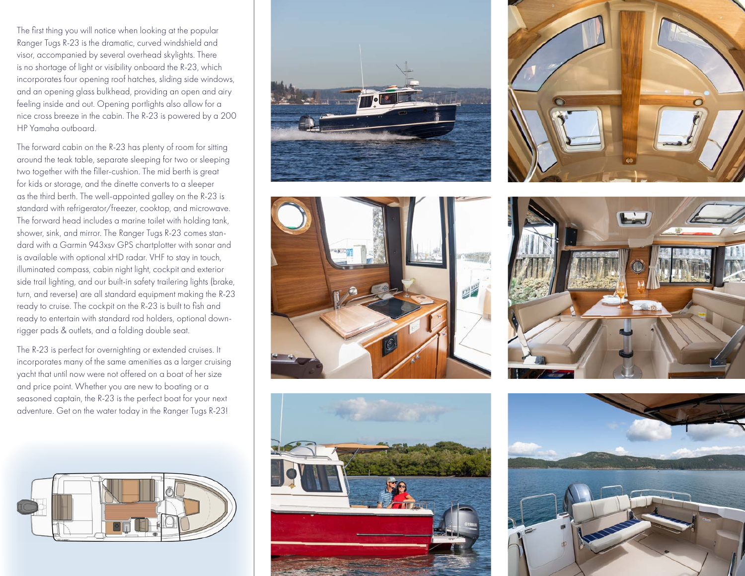The first thing you will notice when looking at the popular Ranger Tugs R-23 is the dramatic, curved windshield and visor, accompanied by several overhead skylights. There is no shortage of light or visibility onboard the R-23, which incorporates four opening roof hatches, sliding side windows, and an opening glass bulkhead, providing an open and airy feeling inside and out. Opening portlights also allow for a nice cross breeze in the cabin. The R-23 is powered by a 200 HP Yamaha outboard.

The forward cabin on the R-23 has plenty of room for sitting around the teak table, separate sleeping for two or sleeping two together with the filler-cushion. The mid berth is great for kids or storage, and the dinette converts to a sleeper as the third berth. The well-appointed galley on the R-23 is standard with refrigerator/freezer, cooktop, and microwave. The forward head includes a marine toilet with holding tank, shower, sink, and mirror. The Ranger Tugs R-23 comes standard with a Garmin 943xsv GPS chartplotter with sonar and is available with optional xHD radar. VHF to stay in touch, illuminated compass, cabin night light, cockpit and exterior side trail lighting, and our built-in safety trailering lights (brake, turn, and reverse) are all standard equipment making the R-23 ready to cruise. The cockpit on the R-23 is built to fish and ready to entertain with standard rod holders, optional downrigger pads & outlets, and a folding double seat.

The R-23 is perfect for overnighting or extended cruises. It incorporates many of the same amenities as a larger cruising yacht that until now were not offered on a boat of her size and price point. Whether you are new to boating or a seasoned captain, the R-23 is the perfect boat for your next adventure. Get on the water today in the Ranger Tugs R-23!













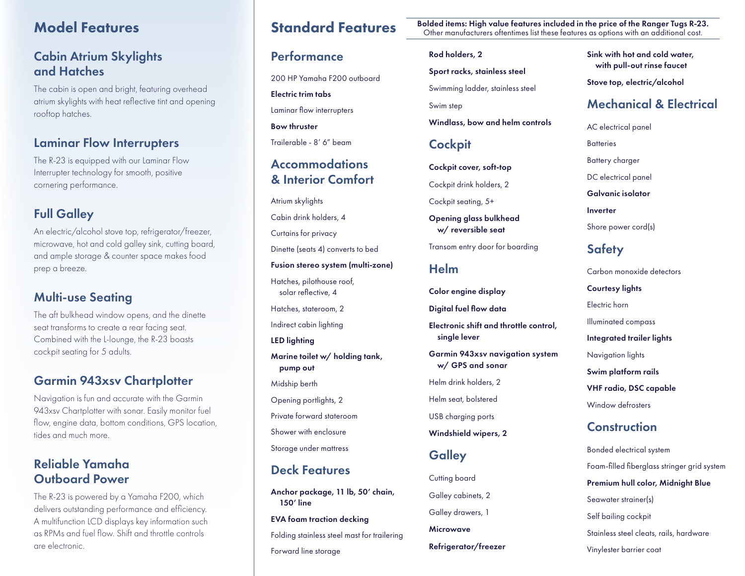## Model Features

## Cabin Atrium Skylights and Hatches

The cabin is open and bright, featuring overhead atrium skylights with heat reflective tint and opening rooftop hatches.

### Laminar Flow Interrupters

The R-23 is equipped with our Laminar Flow Interrupter technology for smooth, positive cornering performance.

## Full Galley

An electric/alcohol stove top, refrigerator/freezer, microwave, hot and cold galley sink, cutting board, and ample storage & counter space makes food prep a breeze.

## Multi-use Seating

The aft bulkhead window opens, and the dinette seat transforms to create a rear facing seat. Combined with the L-lounge, the R-23 boasts cockpit seating for 5 adults.

## Garmin 943xsv Chartplotter

Navigation is fun and accurate with the Garmin 943xsv Chartplotter with sonar. Easily monitor fuel flow, engine data, bottom conditions, GPS location, tides and much more.

## Reliable Yamaha Outboard Power

The R-23 is powered by a Yamaha F200, which delivers outstanding performance and efficiency. A multifunction LCD displays key information such as RPMs and fuel flow. Shift and throttle controls are electronic.

## **Performance**

200 HP Yamaha F200 outboard

Electric trim tabs

Laminar flow interrupters

Bow thruster

Trailerable - 8' 6" beam

## **Accommodations** & Interior Comfort

Atrium skylights

Cabin drink holders, 4

Curtains for privacy

Dinette (seats 4) converts to bed

Fusion stereo system (multi-zone)

Hatches, pilothouse roof, solar reflective, 4 Hatches, stateroom, 2

Indirect cabin lighting

LED lighting

Marine toilet w/ holding tank, pump out

Midship berth

Opening portlights, 2

Private forward stateroom

Shower with enclosure

Storage under mattress

## Deck Features

Anchor package, 11 lb, 50' chain, 150' line

EVA foam traction decking

Folding stainless steel mast for trailering Forward line storage

Standard Features Bolded items: High value features included in the price of the Ranger Tugs R-23. Other manufacturers oftentimes list these features as options with an additional cost.

### Rod holders, 2

Sport racks, stainless steel

Swimming ladder, stainless steel

Swim step

Windlass, bow and helm controls

## **Cockpit**

Cockpit cover, soft-top Cockpit drink holders, 2

Cockpit seating, 5+

Opening glass bulkhead w/ reversible seat

Transom entry door for boarding

## Helm

Color engine display

Digital fuel flow data

Electronic shift and throttle control, single lever

Garmin 943xsv navigation system w/ GPS and sonar

Helm drink holders, 2

Helm seat, bolstered

USB charging ports

Windshield wipers, 2

## **Galley**

Cutting board Galley cabinets, 2 Galley drawers, 1 Microwave Refrigerator/freezer Sink with hot and cold water, with pull-out rinse faucet

Stove top, electric/alcohol

## Mechanical & Electrical

AC electrical panel

**Batteries** 

Battery charger

DC electrical panel

Galvanic isolator

Inverter

Shore power cord(s)

## **Safety**

Carbon monoxide detectors Courtesy lights Electric horn Illuminated compass Integrated trailer lights Navigation lights Swim platform rails VHF radio, DSC capable Window defrosters

## **Construction**

Bonded electrical system Foam-filled fiberglass stringer grid system Premium hull color, Midnight Blue Seawater strainer(s) Self bailing cockpit Stainless steel cleats, rails, hardware Vinylester barrier coat